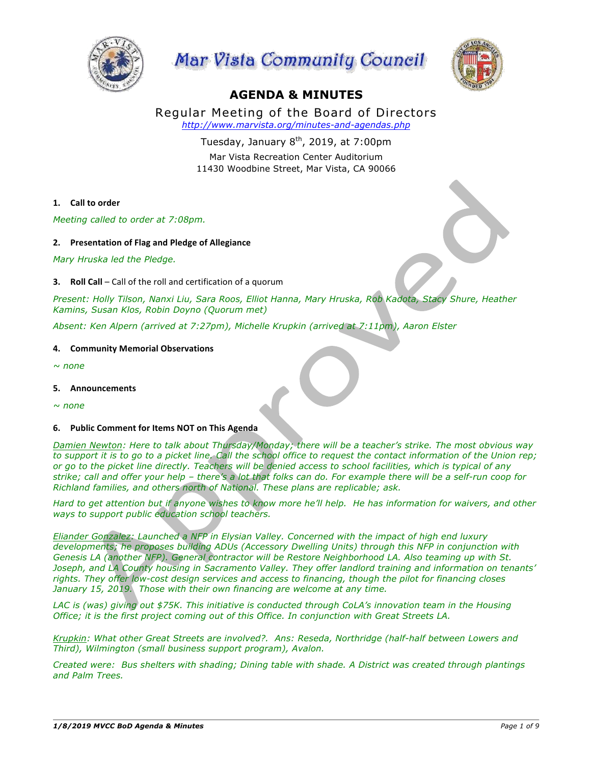





# **AGENDA & MINUTES**

Regular Meeting of the Board of Directors *http://www.marvista.org/minutes-and-agendas.php*

> Tuesday, January  $8<sup>th</sup>$ , 2019, at 7:00pm Mar Vista Recreation Center Auditorium 11430 Woodbine Street, Mar Vista, CA 90066

## 1. **Call** to order

*Meeting called to order at 7:08pm.*

## **2. Presentation of Flag and Pledge of Allegiance**

*Mary Hruska led the Pledge.*

**3. Roll Call** – Call of the roll and certification of a quorum

*Present: Holly Tilson, Nanxi Liu, Sara Roos, Elliot Hanna, Mary Hruska, Rob Kadota, Stacy Shure, Heather Kamins, Susan Klos, Robin Doyno (Quorum met)*

*Absent: Ken Alpern (arrived at 7:27pm), Michelle Krupkin (arrived at 7:11pm), Aaron Elster*

#### **4. Community Memorial Observations**

*~ none*

**5. Announcements**

*~ none*

#### **6.** Public Comment for Items NOT on This Agenda

*Damien Newton: Here to talk about Thursday/Monday; there will be a teacher's strike. The most obvious way to support it is to go to a picket line. Call the school office to request the contact information of the Union rep; or go to the picket line directly. Teachers will be denied access to school facilities, which is typical of any strike; call and offer your help – there's a lot that folks can do. For example there will be a self-run coop for Richland families, and others north of National. These plans are replicable; ask.*

*Hard to get attention but if anyone wishes to know more he'll help. He has information for waivers, and other ways to support public education school teachers.*

*Eliander Gonzalez: Launched a NFP in Elysian Valley. Concerned with the impact of high end luxury developments; he proposes building ADUs (Accessory Dwelling Units) through this NFP in conjunction with Genesis LA (another NFP). General contractor will be Restore Neighborhood LA. Also teaming up with St. Joseph, and LA County housing in Sacramento Valley. They offer landlord training and information on tenants' rights. They offer low-cost design services and access to financing, though the pilot for financing closes January 15, 2019. Those with their own financing are welcome at any time.*

LAC is (was) giving out \$75K. This initiative is conducted through CoLA's innovation team in the Housing *Office; it is the first project coming out of this Office. In conjunction with Great Streets LA.*

*Krupkin: What other Great Streets are involved?. Ans: Reseda, Northridge (half-half between Lowers and Third), Wilmington (small business support program), Avalon.*

*Created were: Bus shelters with shading; Dining table with shade. A District was created through plantings and Palm Trees.*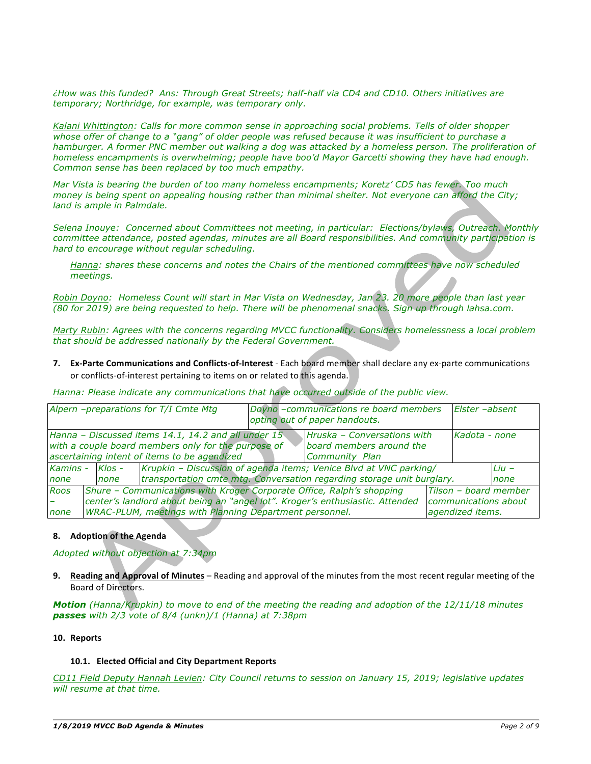*¿How was this funded? Ans: Through Great Streets; half-half via CD4 and CD10. Others initiatives are temporary; Northridge, for example, was temporary only.*

*Kalani Whittington: Calls for more common sense in approaching social problems. Tells of older shopper whose offer of change to a "gang" of older people was refused because it was insufficient to purchase a hamburger. A former PNC member out walking a dog was attacked by a homeless person. The proliferation of homeless encampments is overwhelming; people have boo'd Mayor Garcetti showing they have had enough. Common sense has been replaced by too much empathy.*

*Mar Vista is bearing the burden of too many homeless encampments; Koretz' CD5 has fewer. Too much money is being spent on appealing housing rather than minimal shelter. Not everyone can afford the City; land is ample in Palmdale.*

*Selena Inouye: Concerned about Committees not meeting, in particular: Elections/bylaws, Outreach. Monthly committee attendance, posted agendas, minutes are all Board responsibilities. And community participation is hard to encourage without regular scheduling.*

*Hanna: shares these concerns and notes the Chairs of the mentioned committees have now scheduled meetings.*

*Robin Doyno: Homeless Count will start in Mar Vista on Wednesday, Jan 23. 20 more people than last year (80 for 2019) are being requested to help. There will be phenomenal snacks. Sign up through lahsa.com.*

*Marty Rubin: Agrees with the concerns regarding MVCC functionality. Considers homelessness a local problem that should be addressed nationally by the Federal Government.*

**7. Ex-Parte Communications and Conflicts-of-Interest** - Each board member shall declare any ex-parte communications or conflicts-of-interest pertaining to items on or related to this agenda.

*Hanna: Please indicate any communications that have occurred outside of the public view.*

| Alpern -preparations for T/I Cmte Mtg                                                                                                                                                                                                                         |  |                  |  | Doyno -communications re board members<br>opting out of paper handouts. |                                                                                                                                             |                                                                   | Elster -absent  |
|---------------------------------------------------------------------------------------------------------------------------------------------------------------------------------------------------------------------------------------------------------------|--|------------------|--|-------------------------------------------------------------------------|---------------------------------------------------------------------------------------------------------------------------------------------|-------------------------------------------------------------------|-----------------|
| Hanna - Discussed items 14.1, 14.2 and all under 15<br>Hruska - Conversations with<br>Kadota - none<br>with a couple board members only for the purpose of<br>board members around the<br>ascertaining intent of items to be agendized<br>Community Plan      |  |                  |  |                                                                         |                                                                                                                                             |                                                                   |                 |
| Kamins -<br>none                                                                                                                                                                                                                                              |  | $Klos -$<br>none |  |                                                                         | Krupkin - Discussion of agenda items; Venice Blvd at VNC parking/<br>transportation cmte mtg. Conversation regarding storage unit burglary. |                                                                   | $Liu -$<br>none |
| Roos<br>Shure - Communications with Kroger Corporate Office, Ralph's shopping<br>center's landlord about being an "angel lot". Kroger's enthusiastic. Attended<br>$\overline{\phantom{0}}$<br>WRAC-PLUM, meetings with Planning Department personnel.<br>none |  |                  |  |                                                                         |                                                                                                                                             | Tilson - board member<br>communications about<br>agendized items. |                 |

### **8.** Adoption of the Agenda

*Adopted without objection at 7:34pm*

**9.** Reading and Approval of Minutes – Reading and approval of the minutes from the most recent regular meeting of the Board of Directors. 

*Motion (Hanna/Krupkin) to move to end of the meeting the reading and adoption of the 12/11/18 minutes passes with 2/3 vote of 8/4 (unkn)/1 (Hanna) at 7:38pm* 

#### **10. Reports**

#### **10.1. Elected Official and City Department Reports**

*CD11 Field Deputy Hannah Levien: City Council returns to session on January 15, 2019; legislative updates will resume at that time.*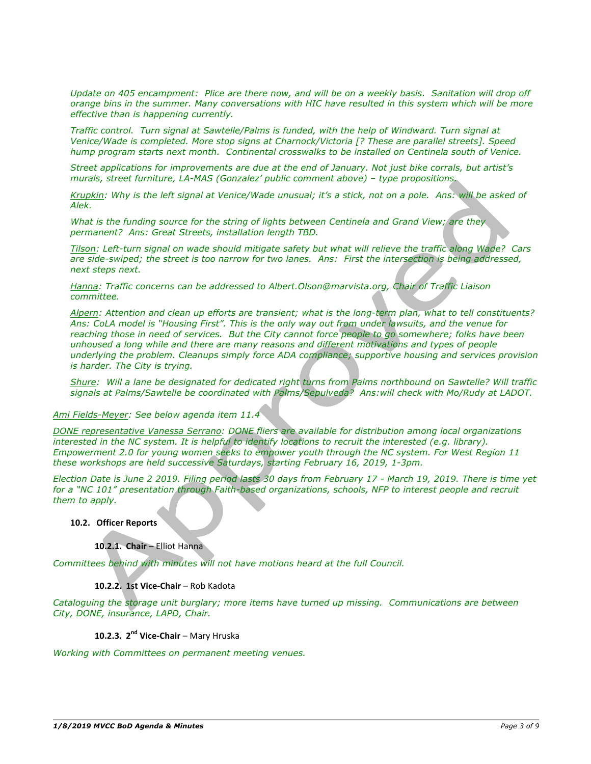*Update on 405 encampment: Plice are there now, and will be on a weekly basis. Sanitation will drop off orange bins in the summer. Many conversations with HIC have resulted in this system which will be more effective than is happening currently.*

*Traffic control. Turn signal at Sawtelle/Palms is funded, with the help of Windward. Turn signal at Venice/Wade is completed. More stop signs at Charnock/Victoria [? These are parallel streets]. Speed hump program starts next month. Continental crosswalks to be installed on Centinela south of Venice.* 

*Street applications for improvements are due at the end of January. Not just bike corrals, but artist's murals, street furniture, LA-MAS (Gonzalez' public comment above) – type propositions.*

*Krupkin: Why is the left signal at Venice/Wade unusual; it's a stick, not on a pole. Ans: will be asked of Alek.* 

*What is the funding source for the string of lights between Centinela and Grand View; are they permanent? Ans: Great Streets, installation length TBD.*

*Tilson: Left-turn signal on wade should mitigate safety but what will relieve the traffic along Wade? Cars are side-swiped; the street is too narrow for two lanes. Ans: First the intersection is being addressed, next steps next.*

*Hanna: Traffic concerns can be addressed to Albert.Olson@marvista.org, Chair of Traffic Liaison committee.*

*Alpern: Attention and clean up efforts are transient; what is the long-term plan, what to tell constituents? Ans: CoLA model is "Housing First". This is the only way out from under lawsuits, and the venue for reaching those in need of services. But the City cannot force people to go somewhere; folks have been unhoused a long while and there are many reasons and different motivations and types of people underlying the problem. Cleanups simply force ADA compliance; supportive housing and services provision is harder. The City is trying.*

*Shure: Will a lane be designated for dedicated right turns from Palms northbound on Sawtelle? Will traffic signals at Palms/Sawtelle be coordinated with Palms/Sepulveda? Ans:will check with Mo/Rudy at LADOT.*

#### *Ami Fields-Meyer: See below agenda item 11.4*

*DONE representative Vanessa Serrano: DONE fliers are available for distribution among local organizations interested in the NC system. It is helpful to identify locations to recruit the interested (e.g. library). Empowerment 2.0 for young women seeks to empower youth through the NC system. For West Region 11 these workshops are held successive Saturdays, starting February 16, 2019, 1-3pm.*

*Election Date is June 2 2019. Filing period lasts 30 days from February 17 - March 19, 2019. There is time yet for a "NC 101" presentation through Faith-based organizations, schools, NFP to interest people and recruit them to apply.*

**10.2. Officer Reports**

#### **10.2.1. Chair** – Elliot Hanna

*Committees behind with minutes will not have motions heard at the full Council.*

#### **10.2.2. 1st Vice-Chair** – Rob Kadota

*Cataloguing the storage unit burglary; more items have turned up missing. Communications are between City, DONE, insurance, LAPD, Chair.*

## **10.2.3. 2nd Vice-Chair** – Mary Hruska

*Working with Committees on permanent meeting venues.*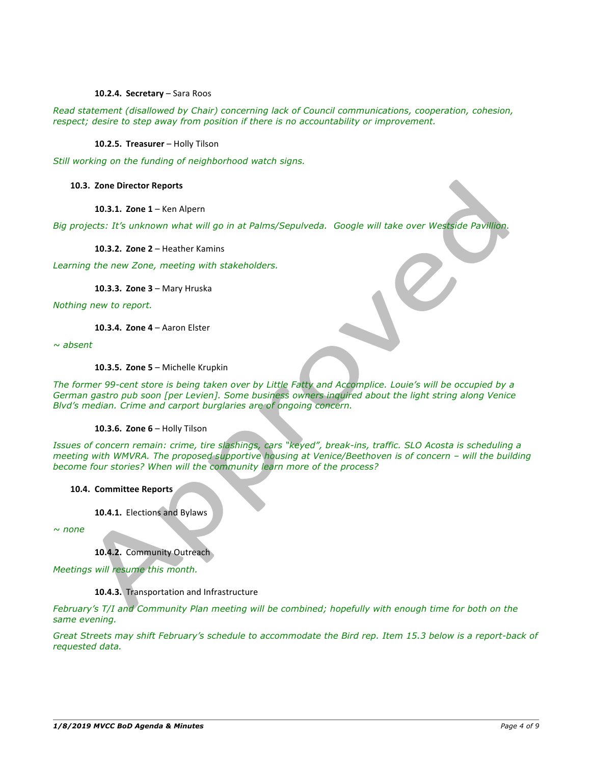#### 10.2.4. **Secretary** – Sara Roos

*Read statement (disallowed by Chair) concerning lack of Council communications, cooperation, cohesion, respect; desire to step away from position if there is no accountability or improvement.* 

10.2.5. Treasurer - Holly Tilson

*Still working on the funding of neighborhood watch signs.* 

#### **10.3. Zone Director Reports**

**10.3.1. Zone 1 - Ken Alpern** 

*Big projects: It's unknown what will go in at Palms/Sepulveda. Google will take over Westside Pavillion.*

**10.3.2. Zone 2 – Heather Kamins** 

*Learning the new Zone, meeting with stakeholders.*

**10.3.3. Zone 3 - Mary Hruska** 

*Nothing new to report.*

**10.3.4. Zone 4 - Aaron Elster** 

*~ absent*

10.3.5. Zone 5 - Michelle Krupkin

*The former 99-cent store is being taken over by Little Fatty and Accomplice. Louie's will be occupied by a German gastro pub soon [per Levien]. Some business owners inquired about the light string along Venice Blvd's median. Crime and carport burglaries are of ongoing concern.*

#### **10.3.6. Zone 6 - Holly Tilson**

*Issues of concern remain: crime, tire slashings, cars "keyed", break-ins, traffic. SLO Acosta is scheduling a meeting with WMVRA. The proposed supportive housing at Venice/Beethoven is of concern – will the building become four stories? When will the community learn more of the process?*

#### **10.4. Committee Reports**

10.4.1. Elections and Bylaws

*~ none*

10.4.2. Community Outreach

*Meetings will resume this month.*

10.4.3. Transportation and Infrastructure

*February's T/I and Community Plan meeting will be combined; hopefully with enough time for both on the same evening.*

*Great Streets may shift February's schedule to accommodate the Bird rep. Item 15.3 below is a report-back of requested data.*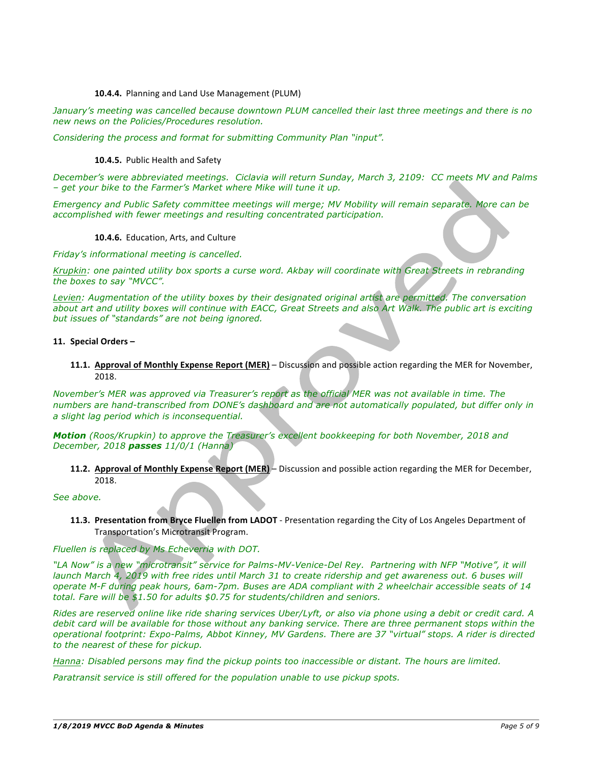#### 10.4.4. Planning and Land Use Management (PLUM)

*January's meeting was cancelled because downtown PLUM cancelled their last three meetings and there is no new news on the Policies/Procedures resolution.*

*Considering the process and format for submitting Community Plan "input".*

#### **10.4.5.** Public Health and Safety

*December's were abbreviated meetings. Ciclavia will return Sunday, March 3, 2109: CC meets MV and Palms – get your bike to the Farmer's Market where Mike will tune it up.* 

*Emergency and Public Safety committee meetings will merge; MV Mobility will remain separate. More can be accomplished with fewer meetings and resulting concentrated participation.*

#### 10.4.6. Education, Arts, and Culture

*Friday's informational meeting is cancelled.*

*Krupkin: one painted utility box sports a curse word. Akbay will coordinate with Great Streets in rebranding the boxes to say "MVCC".*

Levien: Augmentation of the utility boxes by their designated original artist are permitted. The conversation about art and utility boxes will continue with EACC, Great Streets and also Art Walk. The public art is exciting *but issues of "standards" are not being ignored.*

#### 11. **Special Orders** –

**11.1. Approval of Monthly Expense Report (MER)** – Discussion and possible action regarding the MER for November, 2018.

*November's MER was approved via Treasurer's report as the official MER was not available in time. The numbers are hand-transcribed from DONE's dashboard and are not automatically populated, but differ only in a slight lag period which is inconsequential.*

*Motion (Roos/Krupkin) to approve the Treasurer's excellent bookkeeping for both November, 2018 and December, 2018 passes 11/0/1 (Hanna)*

**11.2. Approval of Monthly Expense Report (MER)** – Discussion and possible action regarding the MER for December, 2018.

*See above.*

**11.3. Presentation from Bryce Fluellen from LADOT** - Presentation regarding the City of Los Angeles Department of Transportation's Microtransit Program.

*Fluellen is replaced by Ms Echeverria with DOT.* 

"LA Now" is a new "microtransit" service for Palms-MV-Venice-Del Rey. Partnering with NFP "Motive", it will *launch March 4, 2019 with free rides until March 31 to create ridership and get awareness out. 6 buses will operate M-F during peak hours, 6am-7pm. Buses are ADA compliant with 2 wheelchair accessible seats of 14 total. Fare will be \$1.50 for adults \$0.75 for students/children and seniors.* 

*Rides are reserved online like ride sharing services Uber/Lyft, or also via phone using a debit or credit card. A debit card will be available for those without any banking service. There are three permanent stops within the operational footprint: Expo-Palms, Abbot Kinney, MV Gardens. There are 37 "virtual" stops. A rider is directed to the nearest of these for pickup.*

*Hanna: Disabled persons may find the pickup points too inaccessible or distant. The hours are limited.*

*Paratransit service is still offered for the population unable to use pickup spots.*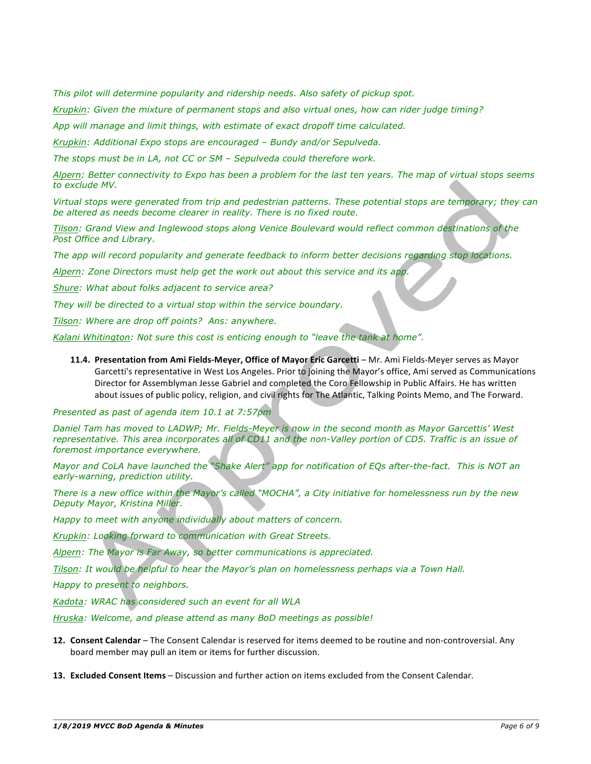*This pilot will determine popularity and ridership needs. Also safety of pickup spot.*

*Krupkin: Given the mixture of permanent stops and also virtual ones, how can rider judge timing?*

*App will manage and limit things, with estimate of exact dropoff time calculated.*

*Krupkin: Additional Expo stops are encouraged – Bundy and/or Sepulveda.*

*The stops must be in LA, not CC or SM – Sepulveda could therefore work.*

*Alpern: Better connectivity to Expo has been a problem for the last ten years. The map of virtual stops seems to exclude MV.*

*Virtual stops were generated from trip and pedestrian patterns. These potential stops are temporary; they can be altered as needs become clearer in reality. There is no fixed route.*

*Tilson: Grand View and Inglewood stops along Venice Boulevard would reflect common destinations of the Post Office and Library.*

*The app will record popularity and generate feedback to inform better decisions regarding stop locations.*

*Alpern: Zone Directors must help get the work out about this service and its app.*

*Shure: What about folks adjacent to service area?*

*They will be directed to a virtual stop within the service boundary.*

*Tilson: Where are drop off points? Ans: anywhere.* 

*Kalani Whitington: Not sure this cost is enticing enough to "leave the tank at home".*

11.4. Presentation from Ami Fields-Meyer, Office of Mayor Eric Garcetti - Mr. Ami Fields-Meyer serves as Mayor Garcetti's representative in West Los Angeles. Prior to joining the Mayor's office, Ami served as Communications Director for Assemblyman Jesse Gabriel and completed the Coro Fellowship in Public Affairs. He has written about issues of public policy, religion, and civil rights for The Atlantic, Talking Points Memo, and The Forward.

*Presented as past of agenda item 10.1 at 7:57pm* 

*Daniel Tam has moved to LADWP; Mr. Fields-Meyer is now in the second month as Mayor Garcettis' West*  representative. This area incorporates all of CD11 and the non-Valley portion of CD5. Traffic is an issue of *foremost importance everywhere.*

*Mayor and CoLA have launched the "Shake Alert" app for notification of EQs after-the-fact. This is NOT an early-warning, prediction utility.*

*There is a new office within the Mayor's called "MOCHA", a City initiative for homelessness run by the new Deputy Mayor, Kristina Miller.*

*Happy to meet with anyone individually about matters of concern.*

*Krupkin: Looking forward to communication with Great Streets.*

*Alpern: The Mayor is Far Away, so better communications is appreciated.*

*Tilson: It would be helpful to hear the Mayor's plan on homelessness perhaps via a Town Hall.*

*Happy to present to neighbors.*

*Kadota: WRAC has considered such an event for all WLA*

*Hruska: Welcome, and please attend as many BoD meetings as possible!*

- 12. Consent Calendar The Consent Calendar is reserved for items deemed to be routine and non-controversial. Any board member may pull an item or items for further discussion.
- **13. Excluded Consent Items** Discussion and further action on items excluded from the Consent Calendar.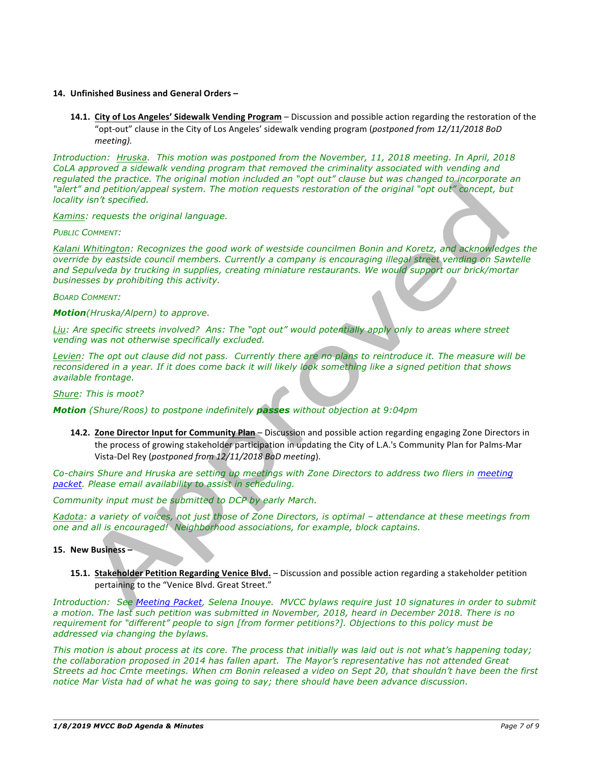#### **14. Unfinished Business and General Orders –**

**14.1. City of Los Angeles' Sidewalk Vending Program** – Discussion and possible action regarding the restoration of the "opt-out" clause in the City of Los Angeles' sidewalk vending program (*postponed from 12/11/2018 BoD meeting).*

*Introduction: Hruska. This motion was postponed from the November, 11, 2018 meeting. In April, 2018 CoLA approved a sidewalk vending program that removed the criminality associated with vending and regulated the practice. The original motion included an "opt out" clause but was changed to incorporate an "alert" and petition/appeal system. The motion requests restoration of the original "opt out" concept, but locality isn't specified.*

#### *Kamins: requests the original language.*

#### *PUBLIC COMMENT:*

*Kalani Whitington: Recognizes the good work of westside councilmen Bonin and Koretz, and acknowledges the override by eastside council members. Currently a company is encouraging illegal street vending on Sawtelle and Sepulveda by trucking in supplies, creating miniature restaurants. We would support our brick/mortar businesses by prohibiting this activity.*

#### *BOARD COMMENT:*

*Motion(Hruska/Alpern) to approve.*

*Liu: Are specific streets involved? Ans: The "opt out" would potentially apply only to areas where street vending was not otherwise specifically excluded.*

Levien: The opt out clause did not pass. Currently there are no plans to reintroduce it. The measure will be *reconsidered in a year. If it does come back it will likely look something like a signed petition that shows available frontage.*

*Shure: This is moot?*

#### *Motion (Shure/Roos) to postpone indefinitely passes without objection at 9:04pm*

**14.2. Zone Director Input for Community Plan** – Discussion and possible action regarding engaging Zone Directors in the process of growing stakeholder participation in updating the City of L.A.'s Community Plan for Palms-Mar Vista-Del Rey (*postponed from 12/11/2018 BoD meeting*).

*Co-chairs Shure and Hruska are setting up meetings with Zone Directors to address two fliers in meeting packet. Please email availability to assist in scheduling.*

*Community input must be submitted to DCP by early March.*

*Kadota: a variety of voices, not just those of Zone Directors, is optimal – attendance at these meetings from one and all is encouraged! Neighborhood associations, for example, block captains.*

#### **15. New Business –**

**15.1. Stakeholder Petition Regarding Venice Blvd.** – Discussion and possible action regarding a stakeholder petition pertaining to the "Venice Blvd. Great Street."

*Introduction: See Meeting Packet, Selena Inouye. MVCC bylaws require just 10 signatures in order to submit a motion. The last such petition was submitted in November, 2018, heard in December 2018. There is no requirement for "different" people to sign [from former petitions?]. Objections to this policy must be addressed via changing the bylaws.* 

*This motion is about process at its core. The process that initially was laid out is not what's happening today; the collaboration proposed in 2014 has fallen apart. The Mayor's representative has not attended Great Streets ad hoc Cmte meetings. When cm Bonin released a video on Sept 20, that shouldn't have been the first notice Mar Vista had of what he was going to say; there should have been advance discussion.*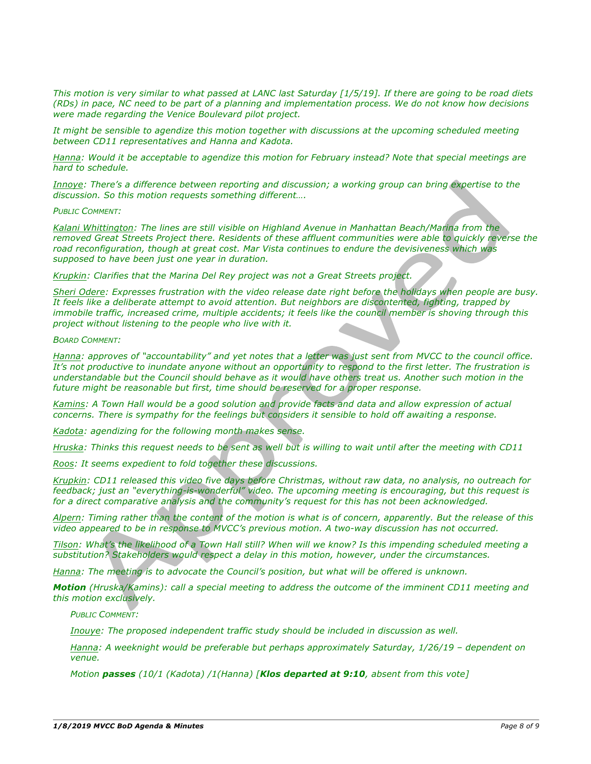*This motion is very similar to what passed at LANC last Saturday [1/5/19]. If there are going to be road diets (RDs) in pace, NC need to be part of a planning and implementation process. We do not know how decisions were made regarding the Venice Boulevard pilot project.*

It might be sensible to agendize this motion together with discussions at the upcoming scheduled meeting *between CD11 representatives and Hanna and Kadota.*

*Hanna: Would it be acceptable to agendize this motion for February instead? Note that special meetings are hard to schedule.*

*Innoye: There's a difference between reporting and discussion; a working group can bring expertise to the discussion. So this motion requests something different….*

*PUBLIC COMMENT:*

*Kalani Whittington: The lines are still visible on Highland Avenue in Manhattan Beach/Marina from the removed Great Streets Project there. Residents of these affluent communities were able to quickly reverse the road reconfiguration, though at great cost. Mar Vista continues to endure the devisiveness which was supposed to have been just one year in duration.* 

*Krupkin: Clarifies that the Marina Del Rey project was not a Great Streets project.*

*Sheri Odere: Expresses frustration with the video release date right before the holidays when people are busy. It feels like a deliberate attempt to avoid attention. But neighbors are discontented, fighting, trapped by immobile traffic, increased crime, multiple accidents; it feels like the council member is shoving through this project without listening to the people who live with it.*

*BOARD COMMENT:*

*Hanna: approves of "accountability" and yet notes that a letter was just sent from MVCC to the council office. It's not productive to inundate anyone without an opportunity to respond to the first letter. The frustration is understandable but the Council should behave as it would have others treat us. Another such motion in the future might be reasonable but first, time should be reserved for a proper response.*

*Kamins: A Town Hall would be a good solution and provide facts and data and allow expression of actual concerns. There is sympathy for the feelings but considers it sensible to hold off awaiting a response.*

*Kadota: agendizing for the following month makes sense.*

*Hruska: Thinks this request needs to be sent as well but is willing to wait until after the meeting with CD11*

*Roos: It seems expedient to fold together these discussions.*

*Krupkin: CD11 released this video five days before Christmas, without raw data, no analysis, no outreach for feedback; just an "everything-is-wonderful" video. The upcoming meeting is encouraging, but this request is for a direct comparative analysis and the community's request for this has not been acknowledged.*

*Alpern: Timing rather than the content of the motion is what is of concern, apparently. But the release of this video appeared to be in response to MVCC's previous motion. A two-way discussion has not occurred.*

*Tilson: What's the likelihood of a Town Hall still? When will we know? Is this impending scheduled meeting a substitution? Stakeholders would respect a delay in this motion, however, under the circumstances.*

*Hanna: The meeting is to advocate the Council's position, but what will be offered is unknown.*

*Motion (Hruska/Kamins): call a special meeting to address the outcome of the imminent CD11 meeting and this motion exclusively.*

*PUBLIC COMMENT:*

*Inouye: The proposed independent traffic study should be included in discussion as well.*

*Hanna: A weeknight would be preferable but perhaps approximately Saturday, 1/26/19 – dependent on venue.*

*Motion passes (10/1 (Kadota) /1(Hanna) [Klos departed at 9:10, absent from this vote]*